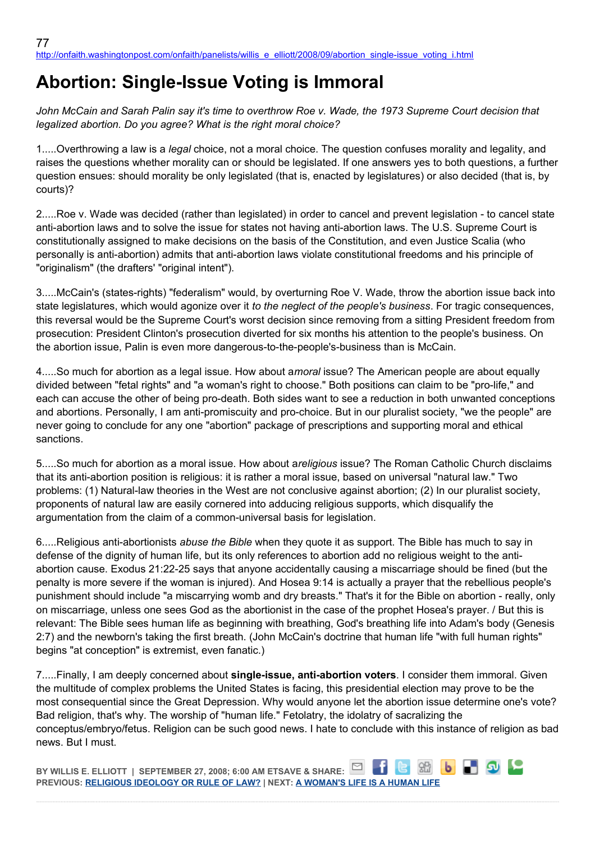## **Abortion: Single-Issue Voting is Immoral**

*John McCain and Sarah Palin say it's time to overthrow Roe v. Wade, the 1973 Supreme Court decision that legalized abortion. Do you agree? What is the right moral choice?*

1.....Overthrowing a law is a *legal* choice, not a moral choice. The question confuses morality and legality, and raises the questions whether morality can or should be legislated. If one answers yes to both questions, a further question ensues: should morality be only legislated (that is, enacted by legislatures) or also decided (that is, by courts)?

2.....Roe v. Wade was decided (rather than legislated) in order to cancel and prevent legislation - to cancel state anti-abortion laws and to solve the issue for states not having anti-abortion laws. The U.S. Supreme Court is constitutionally assigned to make decisions on the basis of the Constitution, and even Justice Scalia (who personally is anti-abortion) admits that anti-abortion laws violate constitutional freedoms and his principle of "originalism" (the drafters' "original intent").

3.....McCain's (states-rights) "federalism" would, by overturning Roe V. Wade, throw the abortion issue back into state legislatures, which would agonize over it *to the neglect of the people's business*. For tragic consequences, this reversal would be the Supreme Court's worst decision since removing from a sitting President freedom from prosecution: President Clinton's prosecution diverted for six months his attention to the people's business. On the abortion issue, Palin is even more dangerous-to-the-people's-business than is McCain.

4.....So much for abortion as a legal issue. How about a*moral* issue? The American people are about equally divided between "fetal rights" and "a woman's right to choose." Both positions can claim to be "pro-life," and each can accuse the other of being pro-death. Both sides want to see a reduction in both unwanted conceptions and abortions. Personally, I am anti-promiscuity and pro-choice. But in our pluralist society, "we the people" are never going to conclude for any one "abortion" package of prescriptions and supporting moral and ethical sanctions.

5.....So much for abortion as a moral issue. How about a*religious* issue? The Roman Catholic Church disclaims that its anti-abortion position is religious: it is rather a moral issue, based on universal "natural law." Two problems: (1) Natural-law theories in the West are not conclusive against abortion; (2) In our pluralist society, proponents of natural law are easily cornered into adducing religious supports, which disqualify the argumentation from the claim of a common-universal basis for legislation.

6.....Religious anti-abortionists *abuse the Bible* when they quote it as support. The Bible has much to say in defense of the dignity of human life, but its only references to abortion add no religious weight to the antiabortion cause. Exodus 21:22-25 says that anyone accidentally causing a miscarriage should be fined (but the penalty is more severe if the woman is injured). And Hosea 9:14 is actually a prayer that the rebellious people's punishment should include "a miscarrying womb and dry breasts." That's it for the Bible on abortion - really, only on miscarriage, unless one sees God as the abortionist in the case of the prophet Hosea's prayer. / But this is relevant: The Bible sees human life as beginning with breathing, God's breathing life into Adam's body (Genesis 2:7) and the newborn's taking the first breath. (John McCain's doctrine that human life "with full human rights" begins "at conception" is extremist, even fanatic.)

7.....Finally, I am deeply concerned about **single-issue, anti-abortion voters**. I consider them immoral. Given the multitude of complex problems the United States is facing, this presidential election may prove to be the most consequential since the Great Depression. Why would anyone let the abortion issue determine one's vote? Bad religion, that's why. The worship of "human life." Fetolatry, the idolatry of sacralizing the conceptus/embryo/fetus. Religion can be such good news. I hate to conclude with this instance of religion as bad news. But I must.

**b D D D BY WILLIS E. ELLIOTT | SEPTEMBER 27, 2008; 6:00 AM ETSAVE & SHARE: PREVIOUS: [RELIGIOUS IDEOLOGY OR RULE OF LAW?](http://onfaith.washingtonpost.com/onfaith/panelists/john_shelby_spong/2008/09/overturning_roe_v_wade.html) | NEXT: [A WOMAN'S LIFE IS A HUMAN LIFE](http://onfaith.washingtonpost.com/onfaith/panelists/susan_brooks_thistlethwaite/2008/09/a_womans_life_is_a_human_life.html)**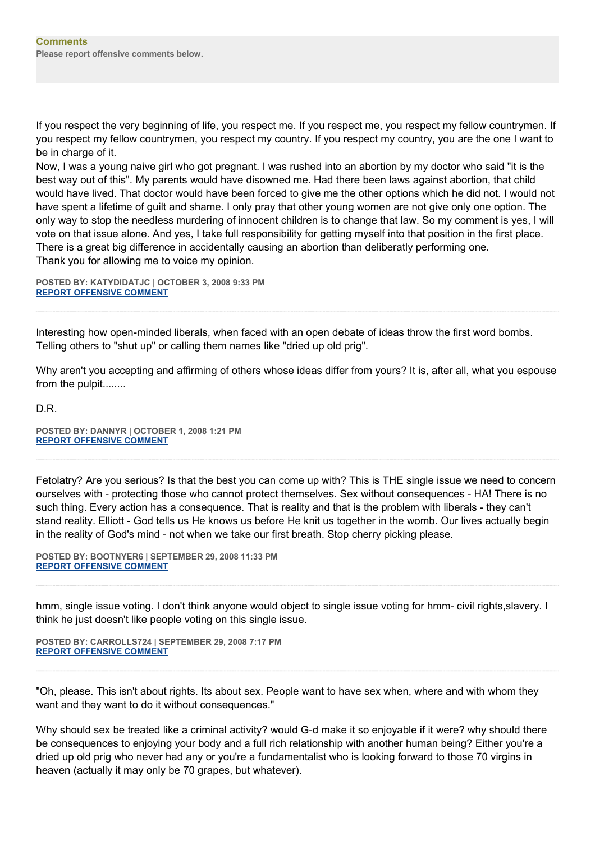If you respect the very beginning of life, you respect me. If you respect me, you respect my fellow countrymen. If you respect my fellow countrymen, you respect my country. If you respect my country, you are the one I want to be in charge of it.

Now, I was a young naive girl who got pregnant. I was rushed into an abortion by my doctor who said "it is the best way out of this". My parents would have disowned me. Had there been laws against abortion, that child would have lived. That doctor would have been forced to give me the other options which he did not. I would not have spent a lifetime of guilt and shame. I only pray that other young women are not give only one option. The only way to stop the needless murdering of innocent children is to change that law. So my comment is yes, I will vote on that issue alone. And yes, I take full responsibility for getting myself into that position in the first place. There is a great big difference in accidentally causing an abortion than deliberatly performing one. Thank you for allowing me to voice my opinion.

**POSTED BY: KATYDIDATJC | OCTOBER 3, 2008 9:33 PM [REPORT OFFENSIVE COMMENT](mailto:blogs@washingtonpost.com?subject=On%20Faith%20Panelists%20Blog%20%20%7C%20%20katydidatjc%20%20%7C%20%20Abortion:%20%20Single-Issue%20Voting%20is%20Immoral%20%20%7C%20%204545148&body=%0D%0D%0D%0D%0D================%0D?__mode=view%26_type=comment%26id=4545148%26blog_id=618)**

Interesting how open-minded liberals, when faced with an open debate of ideas throw the first word bombs. Telling others to "shut up" or calling them names like "dried up old prig".

Why aren't you accepting and affirming of others whose ideas differ from yours? It is, after all, what you espouse from the pulpit........

D.R.

**POSTED BY: DANNYR | OCTOBER 1, 2008 1:21 PM [REPORT OFFENSIVE COMMENT](mailto:blogs@washingtonpost.com?subject=On%20Faith%20Panelists%20Blog%20%20%7C%20%20DannyR%20%20%7C%20%20Abortion:%20%20Single-Issue%20Voting%20is%20Immoral%20%20%7C%20%204544366&body=%0D%0D%0D%0D%0D================%0D?__mode=view%26_type=comment%26id=4544366%26blog_id=618)**

Fetolatry? Are you serious? Is that the best you can come up with? This is THE single issue we need to concern ourselves with - protecting those who cannot protect themselves. Sex without consequences - HA! There is no such thing. Every action has a consequence. That is reality and that is the problem with liberals - they can't stand reality. Elliott - God tells us He knows us before He knit us together in the womb. Our lives actually begin in the reality of God's mind - not when we take our first breath. Stop cherry picking please.

**POSTED BY: BOOTNYER6 | SEPTEMBER 29, 2008 11:33 PM [REPORT OFFENSIVE COMMENT](mailto:blogs@washingtonpost.com?subject=On%20Faith%20Panelists%20Blog%20%20%7C%20%20Bootnyer6%20%20%7C%20%20Abortion:%20%20Single-Issue%20Voting%20is%20Immoral%20%20%7C%20%204543792&body=%0D%0D%0D%0D%0D================%0D?__mode=view%26_type=comment%26id=4543792%26blog_id=618)**

hmm, single issue voting. I don't think anyone would object to single issue voting for hmm- civil rights,slavery. I think he just doesn't like people voting on this single issue.

**POSTED BY: CARROLLS724 | SEPTEMBER 29, 2008 7:17 PM [REPORT OFFENSIVE COMMENT](mailto:blogs@washingtonpost.com?subject=On%20Faith%20Panelists%20Blog%20%20%7C%20%20carrolls724%20%20%7C%20%20Abortion:%20%20Single-Issue%20Voting%20is%20Immoral%20%20%7C%20%204543665&body=%0D%0D%0D%0D%0D================%0D?__mode=view%26_type=comment%26id=4543665%26blog_id=618)**

"Oh, please. This isn't about rights. Its about sex. People want to have sex when, where and with whom they want and they want to do it without consequences."

Why should sex be treated like a criminal activity? would G-d make it so enjoyable if it were? why should there be consequences to enjoying your body and a full rich relationship with another human being? Either you're a dried up old prig who never had any or you're a fundamentalist who is looking forward to those 70 virgins in heaven (actually it may only be 70 grapes, but whatever).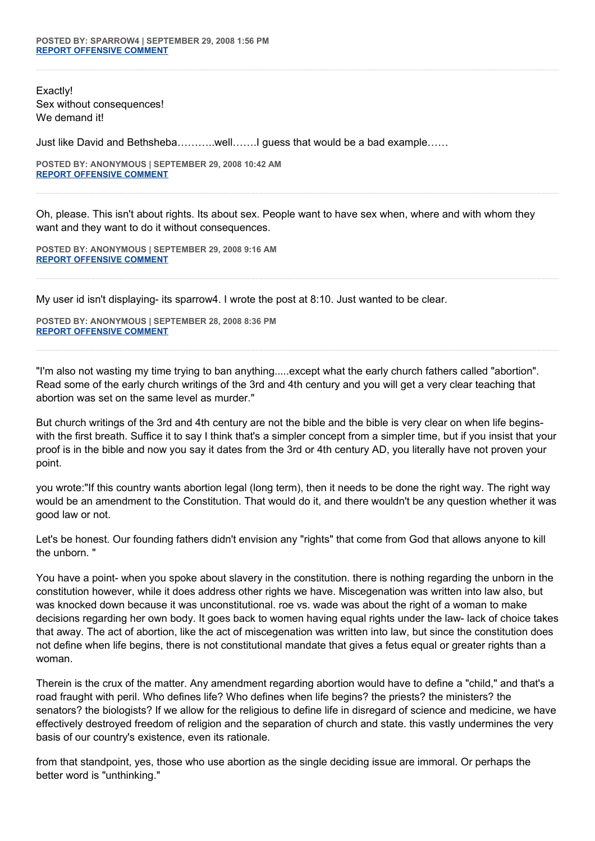Exactly! Sex without consequences! We demand it!

Just like David and Bethsheba………..well…….I guess that would be a bad example……

**POSTED BY: ANONYMOUS | SEPTEMBER 29, 2008 10:42 AM [REPORT OFFENSIVE COMMENT](mailto:blogs@washingtonpost.com?subject=On%20Faith%20Panelists%20Blog%20%20%7C%20%20Anonymous%20%20%7C%20%20Abortion:%20%20Single-Issue%20Voting%20is%20Immoral%20%20%7C%20%204542982&body=%0D%0D%0D%0D%0D================%0D?__mode=view%26_type=comment%26id=4542982%26blog_id=618)**

Oh, please. This isn't about rights. Its about sex. People want to have sex when, where and with whom they want and they want to do it without consequences.

**POSTED BY: ANONYMOUS | SEPTEMBER 29, 2008 9:16 AM [REPORT OFFENSIVE COMMENT](mailto:blogs@washingtonpost.com?subject=On%20Faith%20Panelists%20Blog%20%20%7C%20%20Anonymous%20%20%7C%20%20Abortion:%20%20Single-Issue%20Voting%20is%20Immoral%20%20%7C%20%204542825&body=%0D%0D%0D%0D%0D================%0D?__mode=view%26_type=comment%26id=4542825%26blog_id=618)**

My user id isn't displaying- its sparrow4. I wrote the post at 8:10. Just wanted to be clear.

**POSTED BY: ANONYMOUS | SEPTEMBER 28, 2008 8:36 PM [REPORT OFFENSIVE COMMENT](mailto:blogs@washingtonpost.com?subject=On%20Faith%20Panelists%20Blog%20%20%7C%20%20Anonymous%20%20%7C%20%20Abortion:%20%20Single-Issue%20Voting%20is%20Immoral%20%20%7C%20%204542578&body=%0D%0D%0D%0D%0D================%0D?__mode=view%26_type=comment%26id=4542578%26blog_id=618)**

"I'm also not wasting my time trying to ban anything.....except what the early church fathers called "abortion". Read some of the early church writings of the 3rd and 4th century and you will get a very clear teaching that abortion was set on the same level as murder."

But church writings of the 3rd and 4th century are not the bible and the bible is very clear on when life beginswith the first breath. Suffice it to say I think that's a simpler concept from a simpler time, but if you insist that your proof is in the bible and now you say it dates from the 3rd or 4th century AD, you literally have not proven your point.

you wrote:"If this country wants abortion legal (long term), then it needs to be done the right way. The right way would be an amendment to the Constitution. That would do it, and there wouldn't be any question whether it was good law or not.

Let's be honest. Our founding fathers didn't envision any "rights" that come from God that allows anyone to kill the unborn. "

You have a point- when you spoke about slavery in the constitution. there is nothing regarding the unborn in the constitution however, while it does address other rights we have. Miscegenation was written into law also, but was knocked down because it was unconstitutional. roe vs. wade was about the right of a woman to make decisions regarding her own body. It goes back to women having equal rights under the law- lack of choice takes that away. The act of abortion, like the act of miscegenation was written into law, but since the constitution does not define when life begins, there is not constitutional mandate that gives a fetus equal or greater rights than a woman.

Therein is the crux of the matter. Any amendment regarding abortion would have to define a "child," and that's a road fraught with peril. Who defines life? Who defines when life begins? the priests? the ministers? the senators? the biologists? If we allow for the religious to define life in disregard of science and medicine, we have effectively destroyed freedom of religion and the separation of church and state. this vastly undermines the very basis of our country's existence, even its rationale.

from that standpoint, yes, those who use abortion as the single deciding issue are immoral. Or perhaps the better word is "unthinking."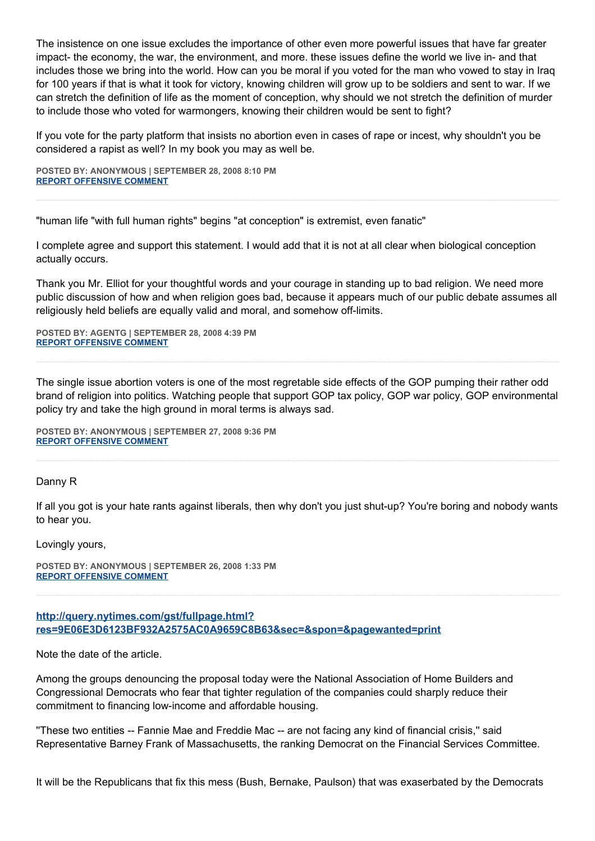The insistence on one issue excludes the importance of other even more powerful issues that have far greater impact- the economy, the war, the environment, and more. these issues define the world we live in- and that includes those we bring into the world. How can you be moral if you voted for the man who vowed to stay in Iraq for 100 years if that is what it took for victory, knowing children will grow up to be soldiers and sent to war. If we can stretch the definition of life as the moment of conception, why should we not stretch the definition of murder to include those who voted for warmongers, knowing their children would be sent to fight?

If you vote for the party platform that insists no abortion even in cases of rape or incest, why shouldn't you be considered a rapist as well? In my book you may as well be.

**POSTED BY: ANONYMOUS | SEPTEMBER 28, 2008 8:10 PM [REPORT OFFENSIVE COMMENT](mailto:blogs@washingtonpost.com?subject=On%20Faith%20Panelists%20Blog%20%20%7C%20%20Anonymous%20%20%7C%20%20Abortion:%20%20Single-Issue%20Voting%20is%20Immoral%20%20%7C%20%204542574&body=%0D%0D%0D%0D%0D================%0D?__mode=view%26_type=comment%26id=4542574%26blog_id=618)**

"human life "with full human rights" begins "at conception" is extremist, even fanatic"

I complete agree and support this statement. I would add that it is not at all clear when biological conception actually occurs.

Thank you Mr. Elliot for your thoughtful words and your courage in standing up to bad religion. We need more public discussion of how and when religion goes bad, because it appears much of our public debate assumes all religiously held beliefs are equally valid and moral, and somehow off-limits.

**POSTED BY: AGENTG | SEPTEMBER 28, 2008 4:39 PM [REPORT OFFENSIVE COMMENT](mailto:blogs@washingtonpost.com?subject=On%20Faith%20Panelists%20Blog%20%20%7C%20%20AgentG%20%20%7C%20%20Abortion:%20%20Single-Issue%20Voting%20is%20Immoral%20%20%7C%20%204542539&body=%0D%0D%0D%0D%0D================%0D?__mode=view%26_type=comment%26id=4542539%26blog_id=618)**

The single issue abortion voters is one of the most regretable side effects of the GOP pumping their rather odd brand of religion into politics. Watching people that support GOP tax policy, GOP war policy, GOP environmental policy try and take the high ground in moral terms is always sad.

**POSTED BY: ANONYMOUS | SEPTEMBER 27, 2008 9:36 PM [REPORT OFFENSIVE COMMENT](mailto:blogs@washingtonpost.com?subject=On%20Faith%20Panelists%20Blog%20%20%7C%20%20Anonymous%20%20%7C%20%20Abortion:%20%20Single-Issue%20Voting%20is%20Immoral%20%20%7C%20%204542347&body=%0D%0D%0D%0D%0D================%0D?__mode=view%26_type=comment%26id=4542347%26blog_id=618)**

Danny R

If all you got is your hate rants against liberals, then why don't you just shut-up? You're boring and nobody wants to hear you.

Lovingly yours,

**POSTED BY: ANONYMOUS | SEPTEMBER 26, 2008 1:33 PM [REPORT OFFENSIVE COMMENT](mailto:blogs@washingtonpost.com?subject=On%20Faith%20Panelists%20Blog%20%20%7C%20%20Anonymous%20%20%7C%20%20Abortion:%20%20Single-Issue%20Voting%20is%20Immoral%20%20%7C%20%204541710&body=%0D%0D%0D%0D%0D================%0D?__mode=view%26_type=comment%26id=4541710%26blog_id=618)**

**[http://query.nytimes.com/gst/fullpage.html?](http://query.nytimes.com/gst/fullpage.html?res=9E06E3D6123BF932A2575AC0A9659C8B63&sec=&spon=&pagewanted=print) [res=9E06E3D6123BF932A2575AC0A9659C8B63&sec=&spon=&pagewanted=print](http://query.nytimes.com/gst/fullpage.html?res=9E06E3D6123BF932A2575AC0A9659C8B63&sec=&spon=&pagewanted=print)**

Note the date of the article.

Among the groups denouncing the proposal today were the National Association of Home Builders and Congressional Democrats who fear that tighter regulation of the companies could sharply reduce their commitment to financing low-income and affordable housing.

''These two entities -- Fannie Mae and Freddie Mac -- are not facing any kind of financial crisis,'' said Representative Barney Frank of Massachusetts, the ranking Democrat on the Financial Services Committee.

It will be the Republicans that fix this mess (Bush, Bernake, Paulson) that was exaserbated by the Democrats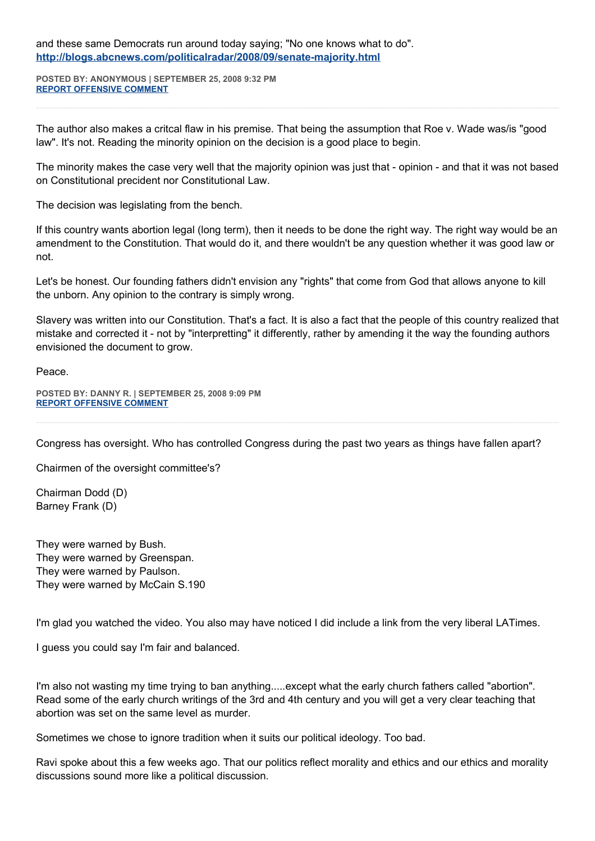and these same Democrats run around today saying; "No one knows what to do". **<http://blogs.abcnews.com/politicalradar/2008/09/senate-majority.html>**

**POSTED BY: ANONYMOUS | SEPTEMBER 25, 2008 9:32 PM [REPORT OFFENSIVE COMMENT](mailto:blogs@washingtonpost.com?subject=On%20Faith%20Panelists%20Blog%20%20%7C%20%20Anonymous%20%20%7C%20%20Abortion:%20%20Single-Issue%20Voting%20is%20Immoral%20%20%7C%20%204541359&body=%0D%0D%0D%0D%0D================%0D?__mode=view%26_type=comment%26id=4541359%26blog_id=618)**

The author also makes a critcal flaw in his premise. That being the assumption that Roe v. Wade was/is "good law". It's not. Reading the minority opinion on the decision is a good place to begin.

The minority makes the case very well that the majority opinion was just that - opinion - and that it was not based on Constitutional precident nor Constitutional Law.

The decision was legislating from the bench.

If this country wants abortion legal (long term), then it needs to be done the right way. The right way would be an amendment to the Constitution. That would do it, and there wouldn't be any question whether it was good law or not.

Let's be honest. Our founding fathers didn't envision any "rights" that come from God that allows anyone to kill the unborn. Any opinion to the contrary is simply wrong.

Slavery was written into our Constitution. That's a fact. It is also a fact that the people of this country realized that mistake and corrected it - not by "interpretting" it differently, rather by amending it the way the founding authors envisioned the document to grow.

Peace.

**POSTED BY: DANNY R. | SEPTEMBER 25, 2008 9:09 PM [REPORT OFFENSIVE COMMENT](mailto:blogs@washingtonpost.com?subject=On%20Faith%20Panelists%20Blog%20%20%7C%20%20Danny%20R.%20%20%7C%20%20Abortion:%20%20Single-Issue%20Voting%20is%20Immoral%20%20%7C%20%204541353&body=%0D%0D%0D%0D%0D================%0D?__mode=view%26_type=comment%26id=4541353%26blog_id=618)**

Congress has oversight. Who has controlled Congress during the past two years as things have fallen apart?

Chairmen of the oversight committee's?

Chairman Dodd (D) Barney Frank (D)

They were warned by Bush. They were warned by Greenspan. They were warned by Paulson. They were warned by McCain S.190

I'm glad you watched the video. You also may have noticed I did include a link from the very liberal LATimes.

I guess you could say I'm fair and balanced.

I'm also not wasting my time trying to ban anything.....except what the early church fathers called "abortion". Read some of the early church writings of the 3rd and 4th century and you will get a very clear teaching that abortion was set on the same level as murder.

Sometimes we chose to ignore tradition when it suits our political ideology. Too bad.

Ravi spoke about this a few weeks ago. That our politics reflect morality and ethics and our ethics and morality discussions sound more like a political discussion.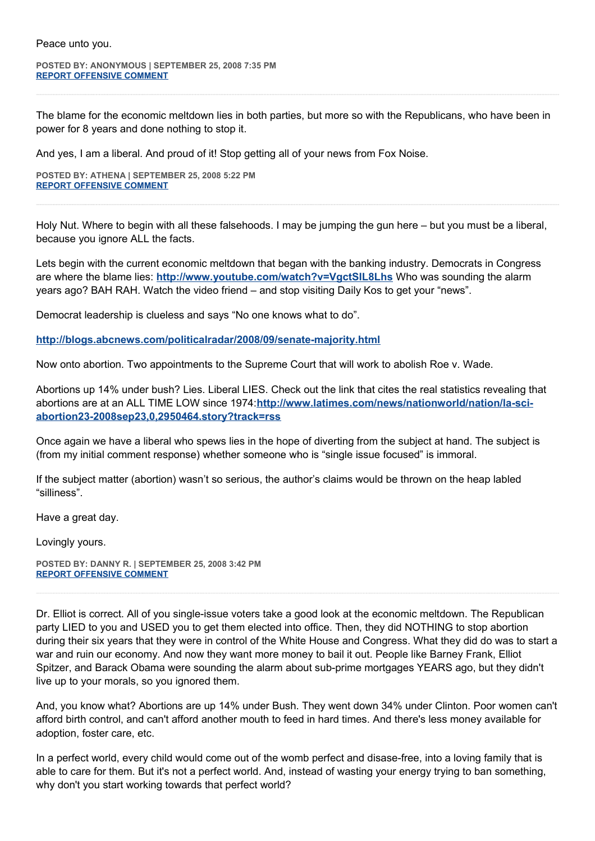**POSTED BY: ANONYMOUS | SEPTEMBER 25, 2008 7:35 PM [REPORT OFFENSIVE COMMENT](mailto:blogs@washingtonpost.com?subject=On%20Faith%20Panelists%20Blog%20%20%7C%20%20Anonymous%20%20%7C%20%20Abortion:%20%20Single-Issue%20Voting%20is%20Immoral%20%20%7C%20%204541312&body=%0D%0D%0D%0D%0D================%0D?__mode=view%26_type=comment%26id=4541312%26blog_id=618)**

The blame for the economic meltdown lies in both parties, but more so with the Republicans, who have been in power for 8 years and done nothing to stop it.

And yes, I am a liberal. And proud of it! Stop getting all of your news from Fox Noise.

**POSTED BY: ATHENA | SEPTEMBER 25, 2008 5:22 PM [REPORT OFFENSIVE COMMENT](mailto:blogs@washingtonpost.com?subject=On%20Faith%20Panelists%20Blog%20%20%7C%20%20Athena%20%20%7C%20%20Abortion:%20%20Single-Issue%20Voting%20is%20Immoral%20%20%7C%20%204541266&body=%0D%0D%0D%0D%0D================%0D?__mode=view%26_type=comment%26id=4541266%26blog_id=618)**

Holy Nut. Where to begin with all these falsehoods. I may be jumping the gun here – but you must be a liberal, because you ignore ALL the facts.

Lets begin with the current economic meltdown that began with the banking industry. Democrats in Congress are where the blame lies: **<http://www.youtube.com/watch?v=VgctSIL8Lhs>** Who was sounding the alarm years ago? BAH RAH. Watch the video friend – and stop visiting Daily Kos to get your "news".

Democrat leadership is clueless and says "No one knows what to do".

**<http://blogs.abcnews.com/politicalradar/2008/09/senate-majority.html>**

Now onto abortion. Two appointments to the Supreme Court that will work to abolish Roe v. Wade.

Abortions up 14% under bush? Lies. Liberal LIES. Check out the link that cites the real statistics revealing that abortions are at an ALL TIME LOW since 1974:**[http://www.latimes.com/news/nationworld/nation/la-sci](http://www.latimes.com/news/nationworld/nation/la-sci-abortion23-2008sep23,0,2950464.story?track=rss)[abortion23-2008sep23,0,2950464.story?track=rss](http://www.latimes.com/news/nationworld/nation/la-sci-abortion23-2008sep23,0,2950464.story?track=rss)**

Once again we have a liberal who spews lies in the hope of diverting from the subject at hand. The subject is (from my initial comment response) whether someone who is "single issue focused" is immoral.

If the subject matter (abortion) wasn't so serious, the author's claims would be thrown on the heap labled "silliness".

Have a great day.

Lovingly yours.

**POSTED BY: DANNY R. | SEPTEMBER 25, 2008 3:42 PM [REPORT OFFENSIVE COMMENT](mailto:blogs@washingtonpost.com?subject=On%20Faith%20Panelists%20Blog%20%20%7C%20%20Danny%20R.%20%20%7C%20%20Abortion:%20%20Single-Issue%20Voting%20is%20Immoral%20%20%7C%20%204541182&body=%0D%0D%0D%0D%0D================%0D?__mode=view%26_type=comment%26id=4541182%26blog_id=618)**

Dr. Elliot is correct. All of you single-issue voters take a good look at the economic meltdown. The Republican party LIED to you and USED you to get them elected into office. Then, they did NOTHING to stop abortion during their six years that they were in control of the White House and Congress. What they did do was to start a war and ruin our economy. And now they want more money to bail it out. People like Barney Frank, Elliot Spitzer, and Barack Obama were sounding the alarm about sub-prime mortgages YEARS ago, but they didn't live up to your morals, so you ignored them.

And, you know what? Abortions are up 14% under Bush. They went down 34% under Clinton. Poor women can't afford birth control, and can't afford another mouth to feed in hard times. And there's less money available for adoption, foster care, etc.

In a perfect world, every child would come out of the womb perfect and disase-free, into a loving family that is able to care for them. But it's not a perfect world. And, instead of wasting your energy trying to ban something, why don't you start working towards that perfect world?